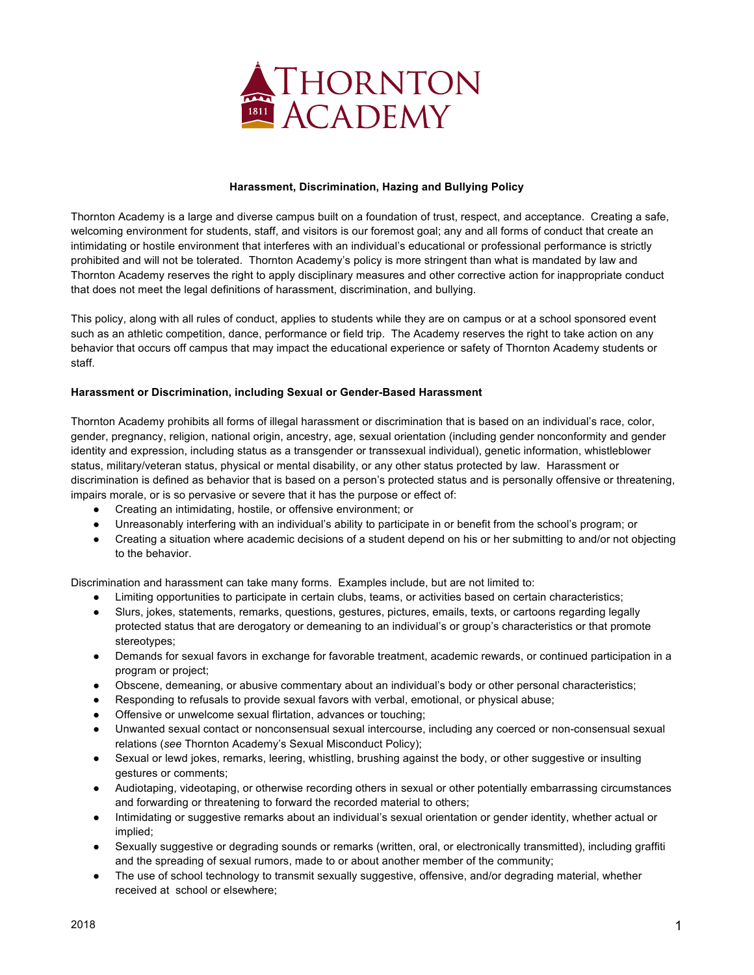

#### **Harassment, Discrimination, Hazing and Bullying Policy**

Thornton Academy is a large and diverse campus built on a foundation of trust, respect, and acceptance. Creating a safe, welcoming environment for students, staff, and visitors is our foremost goal; any and all forms of conduct that create an intimidating or hostile environment that interferes with an individual's educational or professional performance is strictly prohibited and will not be tolerated. Thornton Academy's policy is more stringent than what is mandated by law and Thornton Academy reserves the right to apply disciplinary measures and other corrective action for inappropriate conduct that does not meet the legal definitions of harassment, discrimination, and bullying.

This policy, along with all rules of conduct, applies to students while they are on campus or at a school sponsored event such as an athletic competition, dance, performance or field trip. The Academy reserves the right to take action on any behavior that occurs off campus that may impact the educational experience or safety of Thornton Academy students or staff.

#### **Harassment or Discrimination, including Sexual or Gender-Based Harassment**

Thornton Academy prohibits all forms of illegal harassment or discrimination that is based on an individual's race, color, gender, pregnancy, religion, national origin, ancestry, age, sexual orientation (including gender nonconformity and gender identity and expression, including status as a transgender or transsexual individual), genetic information, whistleblower status, military/veteran status, physical or mental disability, or any other status protected by law. Harassment or discrimination is defined as behavior that is based on a person's protected status and is personally offensive or threatening, impairs morale, or is so pervasive or severe that it has the purpose or effect of:

- Creating an intimidating, hostile, or offensive environment; or
- Unreasonably interfering with an individual's ability to participate in or benefit from the school's program; or
- Creating a situation where academic decisions of a student depend on his or her submitting to and/or not objecting to the behavior.

Discrimination and harassment can take many forms. Examples include, but are not limited to:

- Limiting opportunities to participate in certain clubs, teams, or activities based on certain characteristics;
- Slurs, jokes, statements, remarks, questions, gestures, pictures, emails, texts, or cartoons regarding legally protected status that are derogatory or demeaning to an individual's or group's characteristics or that promote stereotypes;
- Demands for sexual favors in exchange for favorable treatment, academic rewards, or continued participation in a program or project;
- Obscene, demeaning, or abusive commentary about an individual's body or other personal characteristics;
- Responding to refusals to provide sexual favors with verbal, emotional, or physical abuse;
- Offensive or unwelcome sexual flirtation, advances or touching;
- Unwanted sexual contact or nonconsensual sexual intercourse, including any coerced or non-consensual sexual relations (*see* Thornton Academy's Sexual Misconduct Policy);
- Sexual or lewd jokes, remarks, leering, whistling, brushing against the body, or other suggestive or insulting gestures or comments;
- Audiotaping, videotaping, or otherwise recording others in sexual or other potentially embarrassing circumstances and forwarding or threatening to forward the recorded material to others;
- Intimidating or suggestive remarks about an individual's sexual orientation or gender identity, whether actual or implied;
- Sexually suggestive or degrading sounds or remarks (written, oral, or electronically transmitted), including graffiti and the spreading of sexual rumors, made to or about another member of the community;
- The use of school technology to transmit sexually suggestive, offensive, and/or degrading material, whether received at school or elsewhere;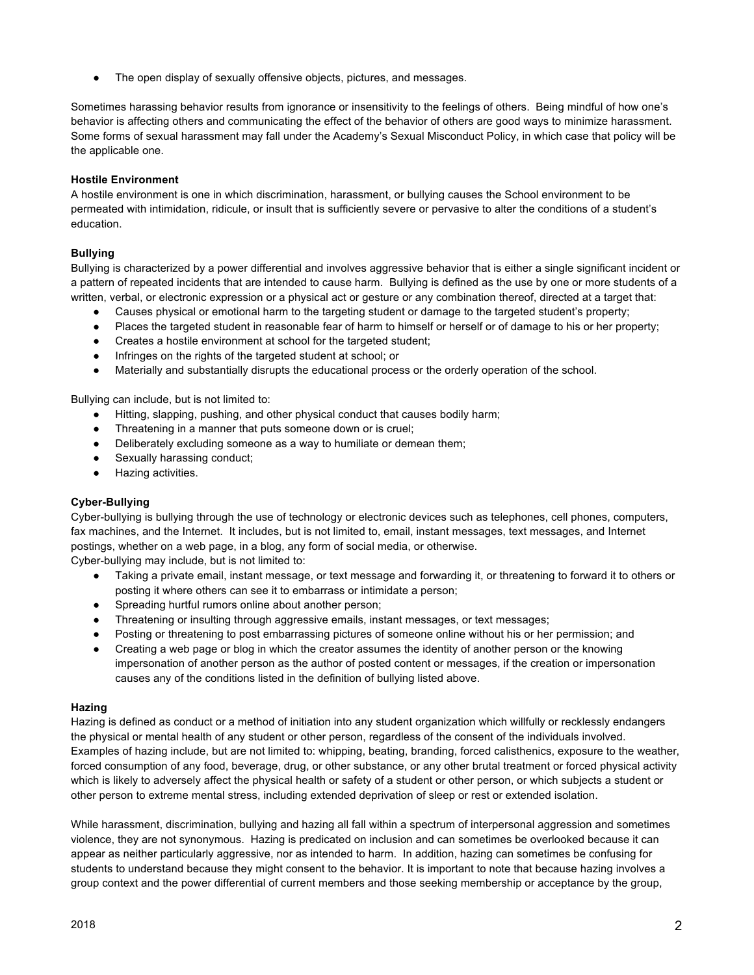● The open display of sexually offensive objects, pictures, and messages.

Sometimes harassing behavior results from ignorance or insensitivity to the feelings of others. Being mindful of how one's behavior is affecting others and communicating the effect of the behavior of others are good ways to minimize harassment. Some forms of sexual harassment may fall under the Academy's Sexual Misconduct Policy, in which case that policy will be the applicable one.

## **Hostile Environment**

A hostile environment is one in which discrimination, harassment, or bullying causes the School environment to be permeated with intimidation, ridicule, or insult that is sufficiently severe or pervasive to alter the conditions of a student's education.

## **Bullying**

Bullying is characterized by a power differential and involves aggressive behavior that is either a single significant incident or a pattern of repeated incidents that are intended to cause harm. Bullying is defined as the use by one or more students of a written, verbal, or electronic expression or a physical act or gesture or any combination thereof, directed at a target that:

- Causes physical or emotional harm to the targeting student or damage to the targeted student's property;
- Places the targeted student in reasonable fear of harm to himself or herself or of damage to his or her property;
- Creates a hostile environment at school for the targeted student:
- Infringes on the rights of the targeted student at school; or
- Materially and substantially disrupts the educational process or the orderly operation of the school.

Bullying can include, but is not limited to:

- Hitting, slapping, pushing, and other physical conduct that causes bodily harm;
- Threatening in a manner that puts someone down or is cruel:
- Deliberately excluding someone as a way to humiliate or demean them;
- Sexually harassing conduct;
- Hazing activities.

# **Cyber-Bullying**

Cyber-bullying is bullying through the use of technology or electronic devices such as telephones, cell phones, computers, fax machines, and the Internet. It includes, but is not limited to, email, instant messages, text messages, and Internet postings, whether on a web page, in a blog, any form of social media, or otherwise.

Cyber-bullying may include, but is not limited to:

- Taking a private email, instant message, or text message and forwarding it, or threatening to forward it to others or posting it where others can see it to embarrass or intimidate a person;
- Spreading hurtful rumors online about another person;
- Threatening or insulting through aggressive emails, instant messages, or text messages;
- Posting or threatening to post embarrassing pictures of someone online without his or her permission; and
- Creating a web page or blog in which the creator assumes the identity of another person or the knowing impersonation of another person as the author of posted content or messages, if the creation or impersonation causes any of the conditions listed in the definition of bullying listed above.

#### **Hazing**

Hazing is defined as conduct or a method of initiation into any student organization which willfully or recklessly endangers the physical or mental health of any student or other person, regardless of the consent of the individuals involved. Examples of hazing include, but are not limited to: whipping, beating, branding, forced calisthenics, exposure to the weather, forced consumption of any food, beverage, drug, or other substance, or any other brutal treatment or forced physical activity which is likely to adversely affect the physical health or safety of a student or other person, or which subjects a student or other person to extreme mental stress, including extended deprivation of sleep or rest or extended isolation.

While harassment, discrimination, bullying and hazing all fall within a spectrum of interpersonal aggression and sometimes violence, they are not synonymous. Hazing is predicated on inclusion and can sometimes be overlooked because it can appear as neither particularly aggressive, nor as intended to harm. In addition, hazing can sometimes be confusing for students to understand because they might consent to the behavior. It is important to note that because hazing involves a group context and the power differential of current members and those seeking membership or acceptance by the group,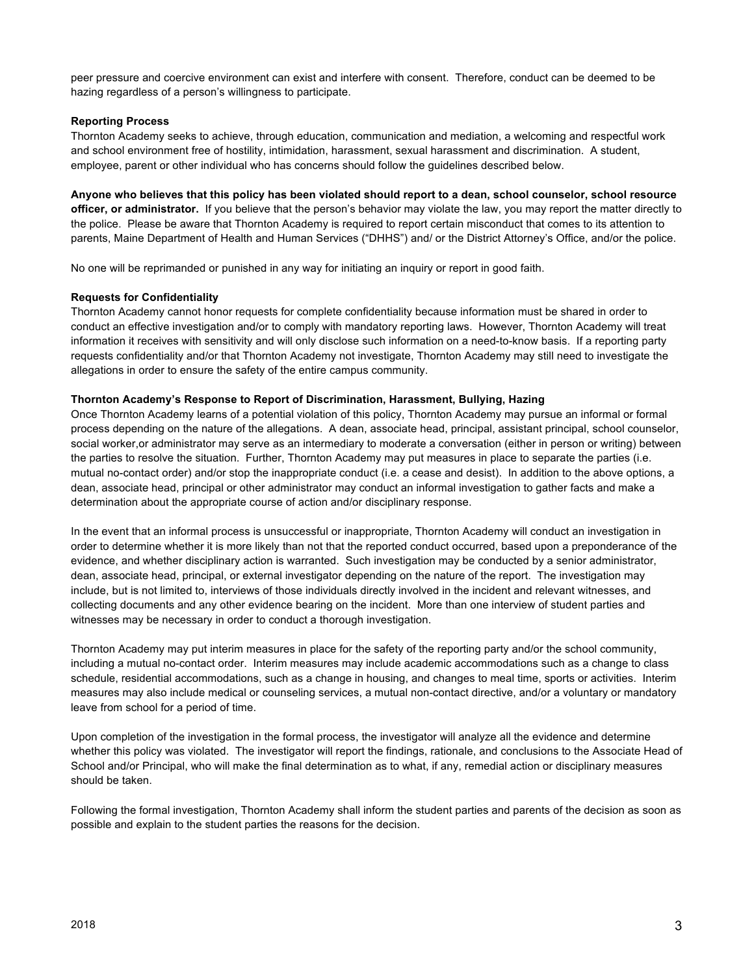peer pressure and coercive environment can exist and interfere with consent. Therefore, conduct can be deemed to be hazing regardless of a person's willingness to participate.

## **Reporting Process**

Thornton Academy seeks to achieve, through education, communication and mediation, a welcoming and respectful work and school environment free of hostility, intimidation, harassment, sexual harassment and discrimination. A student, employee, parent or other individual who has concerns should follow the guidelines described below.

**Anyone who believes that this policy has been violated should report to a dean, school counselor, school resource officer, or administrator.**If you believe that the person's behavior may violate the law, you may report the matter directly to the police. Please be aware that Thornton Academy is required to report certain misconduct that comes to its attention to parents, Maine Department of Health and Human Services ("DHHS") and/ or the District Attorney's Office, and/or the police.

No one will be reprimanded or punished in any way for initiating an inquiry or report in good faith.

## **Requests for Confidentiality**

Thornton Academy cannot honor requests for complete confidentiality because information must be shared in order to conduct an effective investigation and/or to comply with mandatory reporting laws. However, Thornton Academy will treat information it receives with sensitivity and will only disclose such information on a need-to-know basis. If a reporting party requests confidentiality and/or that Thornton Academy not investigate, Thornton Academy may still need to investigate the allegations in order to ensure the safety of the entire campus community.

## **Thornton Academy's Response to Report of Discrimination, Harassment, Bullying, Hazing**

Once Thornton Academy learns of a potential violation of this policy, Thornton Academy may pursue an informal or formal process depending on the nature of the allegations. A dean, associate head, principal, assistant principal, school counselor, social worker,or administrator may serve as an intermediary to moderate a conversation (either in person or writing) between the parties to resolve the situation. Further, Thornton Academy may put measures in place to separate the parties (i.e. mutual no-contact order) and/or stop the inappropriate conduct (i.e. a cease and desist). In addition to the above options, a dean, associate head, principal or other administrator may conduct an informal investigation to gather facts and make a determination about the appropriate course of action and/or disciplinary response.

In the event that an informal process is unsuccessful or inappropriate, Thornton Academy will conduct an investigation in order to determine whether it is more likely than not that the reported conduct occurred, based upon a preponderance of the evidence, and whether disciplinary action is warranted. Such investigation may be conducted by a senior administrator, dean, associate head, principal, or external investigator depending on the nature of the report. The investigation may include, but is not limited to, interviews of those individuals directly involved in the incident and relevant witnesses, and collecting documents and any other evidence bearing on the incident. More than one interview of student parties and witnesses may be necessary in order to conduct a thorough investigation.

Thornton Academy may put interim measures in place for the safety of the reporting party and/or the school community, including a mutual no-contact order. Interim measures may include academic accommodations such as a change to class schedule, residential accommodations, such as a change in housing, and changes to meal time, sports or activities. Interim measures may also include medical or counseling services, a mutual non-contact directive, and/or a voluntary or mandatory leave from school for a period of time.

Upon completion of the investigation in the formal process, the investigator will analyze all the evidence and determine whether this policy was violated. The investigator will report the findings, rationale, and conclusions to the Associate Head of School and/or Principal, who will make the final determination as to what, if any, remedial action or disciplinary measures should be taken.

Following the formal investigation, Thornton Academy shall inform the student parties and parents of the decision as soon as possible and explain to the student parties the reasons for the decision.